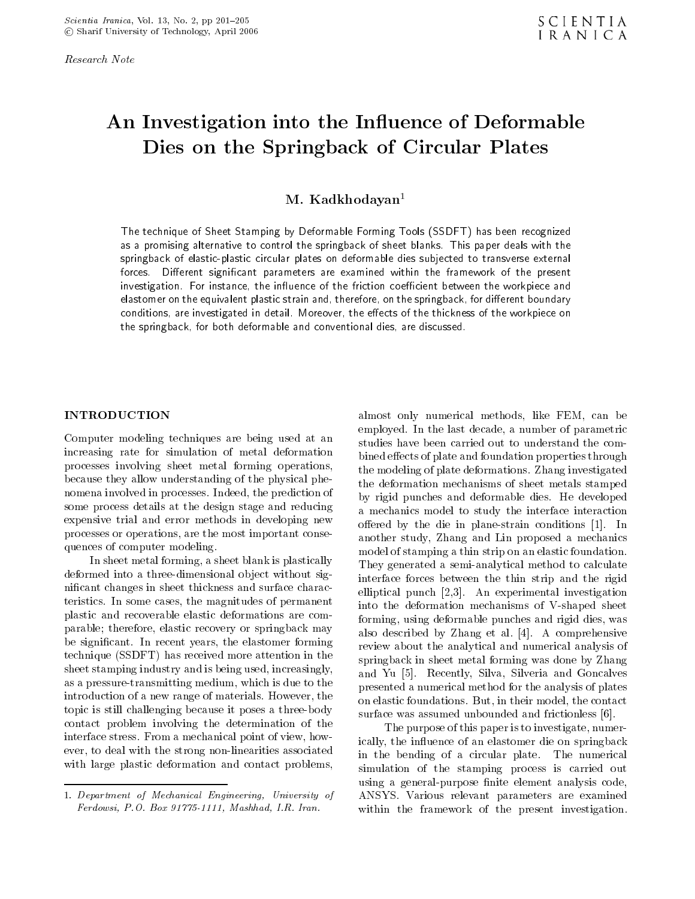Research Note

# An Investigation into the Influence of Deformable Dies on the Springback of Circular Plates

# $M.$  Kadkhodayan<sup>1</sup>

The technique of Sheet Stamping by Deformable Forming Tools (SSDFT) has been recognized as <sup>a</sup> promising alternative to control the springback of sheet blanks. This paper deals with the springback of elastic-plastic circular plates on deformable dies subjected to transverse external forces. Dierent signicant parameters are examined within the framework of the present investigation. For instance, the inhuence of the friction coemcient between the workpiece and elastomer on the equivalent plastic strain and, therefore, on the springback, for dierent boundary conditions, are investigated in detail. Moreover, the eects of the thickness of the workpiece on the springback, for both deformable and conventional dies, are discussed.

# INTRODUCTION

Computer modeling techniques are being used at an increasing rate for simulation of metal deformation processes involving sheet metal forming operations, because they allow understanding of the physical phenomena involved in processes. Indeed, the prediction of some process details at the design stage and reducing expensive trial and error methods in developing new processes or operations, are the most important consequences of computer modeling.

In sheet metal forming, a sheet blank is plastically deformed into a three-dimensional object without significant changes in sheet thickness and surface characteristics. In some cases, the magnitudes of permanent plastic and recoverable elastic deformations are comparable; therefore, elastic recovery or springback may be signicant. In recent years, the elastomer forming technique (SSDFT) has received more attention in the sheet stamping industry and is being used, increasingly, as a pressure-transmitting medium, which is due to the introduction of a new range of materials. However, the topic is still challenging because it poses a three-body contact problem involving the determination of the interface stress. From a mechanical point of view, however, to deal with the strong non-linearities associated with large plastic deformation and contact problems,

almost only numerical methods, like FEM, can be employed. In the last decade, a number of parametric studies have been carried out to understand the combined effects of plate and foundation properties through the modeling of plate deformations. Zhang investigated the deformation mechanisms of sheet metals stamped by rigid punches and deformable dies. He developed <sup>a</sup> mechanics model to study the interface interaction offered by the die in plane-strain conditions  $[1]$ . In another study, Zhang and Lin proposed <sup>a</sup> mechanics model of stamping a thin strip on an elastic foundation. They generated a semi-analytical method to calculate interface forces between the thin strip and the rigid elliptical punch [2,3]. An experimental investigation into the deformation mechanisms of V-shaped sheet forming, using deformable punches and rigid dies, was also described by Zhang et al. [4]. <sup>A</sup> comprehensive review about the analytical and numerical analysis of springback in sheet metal forming was done by Zhang and Yu [5]. Recently, Silva, Silveria and Goncalves presented a numerical method for the analysis of plates on elastic foundations. But, in their model, the contact surface was assumed unbounded and frictionless [6].

The purpose of this paper is to investigate, numerically, the influence of an elastomer die on springback in the bending of <sup>a</sup> circular plate. The numerical simulation of the stamping process is carried out using a general-purpose finite element analysis code, ANSYS. Various relevant parameters are examined within the framework of the present investigation.

<sup>1.</sup> Department of Mechanical Engineering, University of Ferdowsi, P.O. Box 91775-1111, Mashhad, I.R. Iran.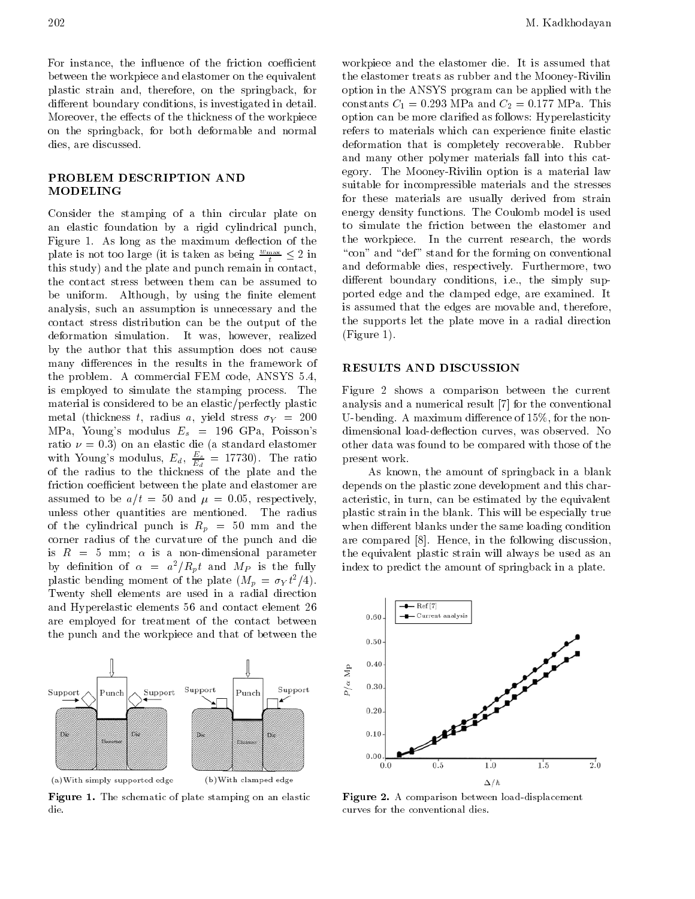For instance, the influence of the friction coefficient between the workpiece and elastomer on the equivalent plastic strain and, therefore, on the springback, for different boundary conditions, is investigated in detail. Moreover, the effects of the thickness of the workpiece on the springback, for both deformable and normal dies, are discussed.

# PROBLEM DESCRIPTION AND MODELING

Consider the stamping of <sup>a</sup> thin circular plate on an elastic foundation by <sup>a</sup> rigid cylindrical punch, Figure 1. As long as the maximum deflection of the plate is not too large (it is taken as being  $\frac{2\pi m}{t} \leq 2$  in corrected by  $\frac{1}{t}$ this study) and the plate and punch remain in contact, the contact stress between them can be assumed to be uniform. Although, by using the finite element analysis, such an assumption is unnecessary and the contact stress distribution can be the output of the deformation simulation. It was, however, realized by the author that this assumption does not cause many differences in the results in the framework of the problem. <sup>A</sup> commercial FEM code, ANSYS 5.4, is employed to simulate the stamping process. The material is considered to be an elastic/perfectly plastic metal (thickness t, radius a, yield stress  $\sigma_Y = 200$ MPa, Young's modulus  $E_s = 196$  GPa, Poisson's ratio  $\nu = 0.3$ ) on an elastic die (a standard elastomer with Young's modulus,  $E_d$ ,  $\frac{E_s}{E_d} = 17730$ ). The ratio pre of the radius to the thickness of the plate and the friction coefficient between the plate and elastomer are assumed to be  $a/t = 50$  and  $\mu = 0.05$ , respectively, unless other quantities are mentioned. The radius of the cylindrical punch is  $R_p = 50$  mm and the corner radius of the curvature of the punch and die is  $R = 5$  mm;  $\alpha$  is a non-dimensional parameter by definition of  $\alpha = a^2/R_pt$  and  $M_P$  is the fully plastic bending moment of the plate  $(M_p = \sigma_Y t^2/4)$ . Twenty shell elements are used in <sup>a</sup> radial direction and Hyperelastic elements 56 and contact element <sup>26</sup> are employed for treatment of the contact between the punch and the workpiece and that of between the



(a) With simply supported edge

(b) With clamped edge

Figure 1. The schematic of plate stamping on an elastic die.

workpiece and the elastomer die. It is assumed that the elastomer treats as rubber and the Mooney-Rivilin option in the ANSYS program can be applied with the constants  $C_1 = 0.293$  MPa and  $C_2 = 0.177$  MPa. This option can be more claried as follows: Hyperelasticity refers to materials which can experience finite elastic deformation that is completely recoverable. Rubber and many other polymer materials fall into this category. The Mooney-Rivilin option is a material law suitable for incompressible materials and the stresses for these materials are usually derived from strain energy density functions. The Coulomb model is used to simulate the friction between the elastomer and the workpiece. In the current research, the words "con" and "def" stand for the forming on conventional and deformable dies, respectively. Furthermore, two different boundary conditions, i.e., the simply supported edge and the clamped edge, are examined. It is assumed that the edges are movable and, therefore, the supports let the plate move in <sup>a</sup> radial direction (Figure 1).

#### RESULTS AND DISCUSSION

Figure <sup>2</sup> shows <sup>a</sup> comparison between the current analysis and a numerical result [7] for the conventional U-bending. A maximum difference of  $15\%$ , for the nondimensional load-deflection curves, was observed. No other data was found to be compared with those of the present work.

As known, the amount of springback in <sup>a</sup> blank depends on the plastic zone development and this characteristic, in turn, can be estimated by the equivalent plastic strain in the blank. This will be especially true when different blanks under the same loading condition are compared [8]. Hence, in the following discussion, the equivalent plastic strain will always be used as an index to predict the amount of springback in a plate.



 $\blacksquare$   $\blacksquare$   $\blacksquare$   $\blacksquare$   $\blacksquare$   $\blacksquare$   $\blacksquare$   $\blacksquare$   $\blacksquare$   $\blacksquare$   $\blacksquare$   $\blacksquare$   $\blacksquare$   $\blacksquare$   $\blacksquare$   $\blacksquare$   $\blacksquare$   $\blacksquare$   $\blacksquare$   $\blacksquare$   $\blacksquare$   $\blacksquare$   $\blacksquare$   $\blacksquare$   $\blacksquare$   $\blacksquare$   $\blacksquare$   $\blacksquare$   $\blacksquare$   $\blacksquare$   $\blacksquare$   $\blacks$ curves for the conventional dies.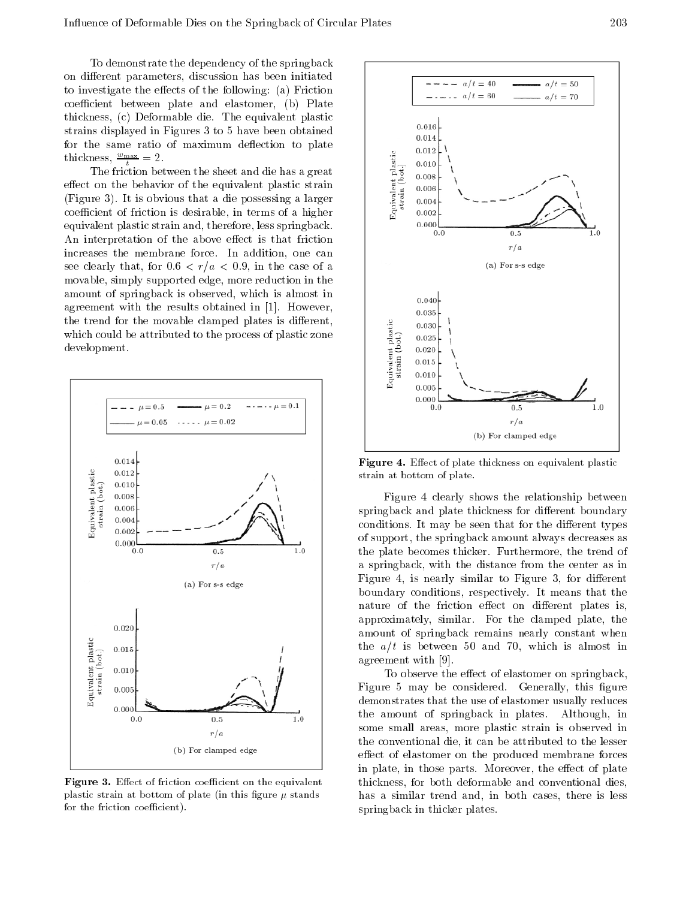To demonstrate the dependency of the springback on different parameters, discussion has been initiated to investigate the effects of the following: (a) Friction coefficient between plate and elastomer, (b) Plate thickness, (c) Deformable die. The equivalent plastic strains displayed in Figures 3 to 5 have been obtained for the same ratio of maximum deflection to plate thickness,  $\frac{w_{\text{max}}}{t} = 2$ .  $t$  and  $t$  and  $t$  and  $t$  and  $t$ 

The friction between the sheet and die has a great effect on the behavior of the equivalent plastic strain (Figure 3). It is obvious that a die possessing a larger coefficient of friction is desirable, in terms of a higher equivalent plastic strain and, therefore, less springback. An interpretation of the above effect is that friction increases the membrane force. In addition, one can see clearly that, for  $0.6 < r/a < 0.9$ , in the case of a movable, simply supported edge, more reduction in the amount of springback is observed, which is almost in agreement with the results obtained in [1]. However, the trend for the movable clamped plates is different, which could be attributed to the process of plastic zone development.



 ${\bf r}$  igure  ${\bf 3}.$  Extect of friction coefficient on the equivalent plastic strain at bottom of plate (in this figure  $\mu$  stands for the friction coefficient).



Figure 4. Eect of plate thickness on equivalent plastic strain at bottom of plate.

Figure <sup>4</sup> clearly shows the relationship between springback and plate thickness for different boundary conditions. It may be seen that for the different types of support, the springback amount always decreases as the plate becomes thicker. Furthermore, the trend of <sup>a</sup> springback, with the distance from the center as in Figure 4, is nearly similar to Figure 3, for different boundary conditions, respectively. It means that the nature of the friction effect on different plates is, approximately, similar. For the clamped plate, the amount of springback remains nearly constant when the  $a/t$  is between 50 and 70, which is almost in agreement with [9].

To observe the effect of elastomer on springback, Figure 5 may be considered. Generally, this figure demonstrates that the use of elastomer usually reduces the amount of springback in plates. Although, in some small areas, more plastic strain is observed in the conventional die, it can be attributed to the lesser effect of elastomer on the produced membrane forces in plate, in those parts. Moreover, the effect of plate thickness, for both deformable and conventional dies, has <sup>a</sup> similar trend and, in both cases, there is less springback in thicker plates.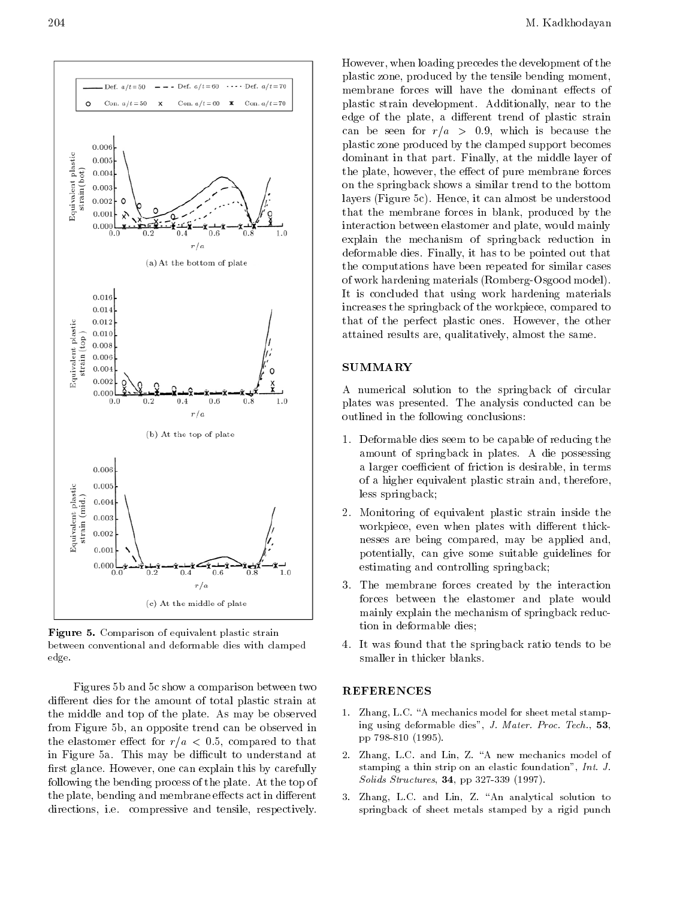

Figure 5. Comparison of equivalent plastic strain between conventional and deformable dies with clamped edge.

Figures 5b and 5c show a comparison between two different dies for the amount of total plastic strain at the middle and top of the plate. As may be observed from Figure 5b, an opposite trend can be observed in the elastomer effect for  $r/a < 0.5$ , compared to that in Figure 5a. This may be difficult to understand at first glance. However, one can explain this by carefully following the bending process of the plate. At the top of the plate, bending and membrane effects act in different directions, i.e. compressive and tensile, respectively. However, when loading precedes the development of the plastic zone, produced by the tensile bending moment, membrane forces will have the dominant effects of plastic strain development. Additionally, near to the edge of the plate, a different trend of plastic strain can be seen for  $r/a > 0.9$ , which is because the plastic zone produced by the clamped support becomes dominant in that part. Finally, at the middle layer of the plate, however, the effect of pure membrane forces on the springback shows a similar trend to the bottom layers (Figure 5c). Hence, it can almost be understood that the membrane forces in blank, produced by the interaction between elastomer and plate, would mainly explain the mechanism of springback reduction in deformable dies. Finally, it has to be pointed out that the computations have been repeated for similar cases of work hardening materials (Romberg-Osgood model). It is concluded that using work hardening materials increases the springback of the workpiece, compared to that of the perfect plastic ones. However, the other attained results are, qualitatively, almost the same.

# SUMMARY

<sup>A</sup> numerical solution to the springback of circular plates was presented. The analysis conducted can be outlined in the following conclusions:

- 1. Deformable dies seem to be capable of reducing the amount of springback in plates. <sup>A</sup> die possessing a larger coefficient of friction is desirable, in terms of a higher equivalent plastic strain and, therefore, less springback;
- 2. Monitoring of equivalent plastic strain inside the workpiece, even when plates with different thicknesses are being compared, may be applied and, potentially, can give some suitable guidelines for estimating and controlling springback;
- 3. The membrane forces created by the interaction forces between the elastomer and plate would mainly explain the mechanism of springback reduction in deformable dies;
- 4. It was found that the springback ratio tends to be smaller in thicker blanks.

# **REFERENCES**

- 1. Zhang, L.C. "A mechanics model for sheet metal stamping using deformable dies", J. Mater. Proc. Tech., 53, pp 798-810 (1995).
- 2. Zhang, L.C. and Lin, Z. "A new mechanics model of stamping a thin strip on an elastic foundation", Int. J. Solids Structures, 34, pp 327-339 (1997).
- 3. Zhang, L.C. and Lin, Z. "An analytical solution to springback of sheet metals stamped by <sup>a</sup> rigid punch